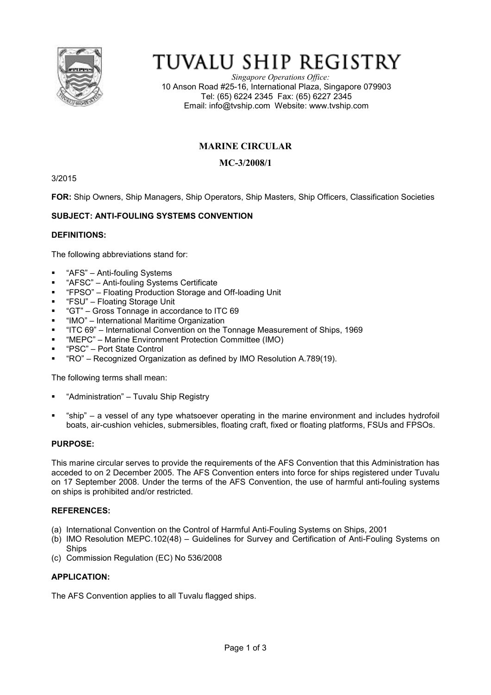

# TUVALU SHIP REGISTRY

*Singapore Operations Office:* 10 Anson Road #25-16, International Plaza, Singapore 079903 Tel: (65) 6224 2345 Fax: (65) 6227 2345 Email: info@tvship.com Website: www.tvship.com

# **MARINE CIRCULAR**

# **MC-3/2008/1**

3/2015

**FOR:** Ship Owners, Ship Managers, Ship Operators, Ship Masters, Ship Officers, Classification Societies

# **SUBJECT: ANTI-FOULING SYSTEMS CONVENTION**

## **DEFINITIONS:**

The following abbreviations stand for:

- "AFS" Anti-fouling Systems
- "AFSC" Anti-fouling Systems Certificate
- "FPSO" Floating Production Storage and Off-loading Unit
- "FSU" Floating Storage Unit
- "GT" Gross Tonnage in accordance to ITC 69
- "IMO" International Maritime Organization
- "ITC 69" International Convention on the Tonnage Measurement of Ships, 1969
- "MEPC" Marine Environment Protection Committee (IMO)
- "PSC" Port State Control
- "RO" Recognized Organization as defined by IMO Resolution A.789(19).

The following terms shall mean:

- "Administration" Tuvalu Ship Registry
- "ship" a vessel of any type whatsoever operating in the marine environment and includes hydrofoil boats, air-cushion vehicles, submersibles, floating craft, fixed or floating platforms, FSUs and FPSOs.

#### **PURPOSE:**

This marine circular serves to provide the requirements of the AFS Convention that this Administration has acceded to on 2 December 2005. The AFS Convention enters into force for ships registered under Tuvalu on 17 September 2008. Under the terms of the AFS Convention, the use of harmful anti-fouling systems on ships is prohibited and/or restricted.

#### **REFERENCES:**

- (a) International Convention on the Control of Harmful Anti-Fouling Systems on Ships, 2001
- (b) IMO Resolution MEPC.102(48) Guidelines for Survey and Certification of Anti-Fouling Systems on **Ships**
- (c) Commission Regulation (EC) No 536/2008

#### **APPLICATION:**

The AFS Convention applies to all Tuvalu flagged ships.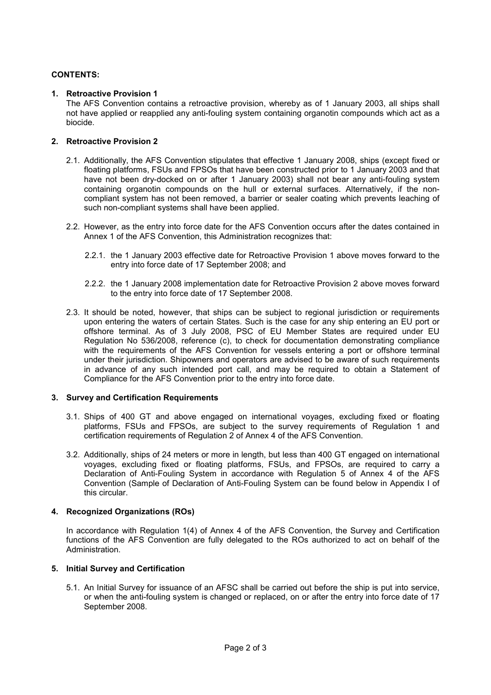## **CONTENTS:**

### **1. Retroactive Provision 1**

The AFS Convention contains a retroactive provision, whereby as of 1 January 2003, all ships shall not have applied or reapplied any anti-fouling system containing organotin compounds which act as a biocide.

#### **2. Retroactive Provision 2**

- 2.1. Additionally, the AFS Convention stipulates that effective 1 January 2008, ships (except fixed or floating platforms, FSUs and FPSOs that have been constructed prior to 1 January 2003 and that have not been dry-docked on or after 1 January 2003) shall not bear any anti-fouling system containing organotin compounds on the hull or external surfaces. Alternatively, if the noncompliant system has not been removed, a barrier or sealer coating which prevents leaching of such non-compliant systems shall have been applied.
- 2.2. However, as the entry into force date for the AFS Convention occurs after the dates contained in Annex 1 of the AFS Convention, this Administration recognizes that:
	- 2.2.1. the 1 January 2003 effective date for Retroactive Provision 1 above moves forward to the entry into force date of 17 September 2008; and
	- 2.2.2. the 1 January 2008 implementation date for Retroactive Provision 2 above moves forward to the entry into force date of 17 September 2008.
- 2.3. It should be noted, however, that ships can be subject to regional jurisdiction or requirements upon entering the waters of certain States. Such is the case for any ship entering an EU port or offshore terminal. As of 3 July 2008, PSC of EU Member States are required under EU Regulation No 536/2008, reference (c), to check for documentation demonstrating compliance with the requirements of the AFS Convention for vessels entering a port or offshore terminal under their jurisdiction. Shipowners and operators are advised to be aware of such requirements in advance of any such intended port call, and may be required to obtain a Statement of Compliance for the AFS Convention prior to the entry into force date.

#### **3. Survey and Certification Requirements**

- 3.1. Ships of 400 GT and above engaged on international voyages, excluding fixed or floating platforms, FSUs and FPSOs, are subject to the survey requirements of Regulation 1 and certification requirements of Regulation 2 of Annex 4 of the AFS Convention.
- 3.2. Additionally, ships of 24 meters or more in length, but less than 400 GT engaged on international voyages, excluding fixed or floating platforms, FSUs, and FPSOs, are required to carry a Declaration of Anti-Fouling System in accordance with Regulation 5 of Annex 4 of the AFS Convention (Sample of Declaration of Anti-Fouling System can be found below in Appendix I of this circular.

#### **4. Recognized Organizations (ROs)**

In accordance with Regulation 1(4) of Annex 4 of the AFS Convention, the Survey and Certification functions of the AFS Convention are fully delegated to the ROs authorized to act on behalf of the Administration.

#### **5. Initial Survey and Certification**

5.1. An Initial Survey for issuance of an AFSC shall be carried out before the ship is put into service, or when the anti-fouling system is changed or replaced, on or after the entry into force date of 17 September 2008.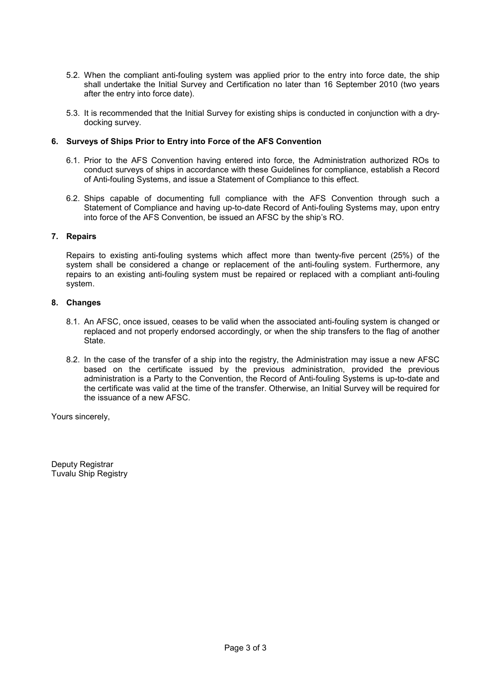- 5.2. When the compliant anti-fouling system was applied prior to the entry into force date, the ship shall undertake the Initial Survey and Certification no later than 16 September 2010 (two years after the entry into force date).
- 5.3. It is recommended that the Initial Survey for existing ships is conducted in conjunction with a drydocking survey.

### **6. Surveys of Ships Prior to Entry into Force of the AFS Convention**

- 6.1. Prior to the AFS Convention having entered into force, the Administration authorized ROs to conduct surveys of ships in accordance with these Guidelines for compliance, establish a Record of Anti-fouling Systems, and issue a Statement of Compliance to this effect.
- 6.2. Ships capable of documenting full compliance with the AFS Convention through such a Statement of Compliance and having up-to-date Record of Anti-fouling Systems may, upon entry into force of the AFS Convention, be issued an AFSC by the ship's RO.

## **7. Repairs**

Repairs to existing anti-fouling systems which affect more than twenty-five percent (25%) of the system shall be considered a change or replacement of the anti-fouling system. Furthermore, any repairs to an existing anti-fouling system must be repaired or replaced with a compliant anti-fouling system.

## **8. Changes**

- 8.1. An AFSC, once issued, ceases to be valid when the associated anti-fouling system is changed or replaced and not properly endorsed accordingly, or when the ship transfers to the flag of another State.
- 8.2. In the case of the transfer of a ship into the registry, the Administration may issue a new AFSC based on the certificate issued by the previous administration, provided the previous administration is a Party to the Convention, the Record of Anti-fouling Systems is up-to-date and the certificate was valid at the time of the transfer. Otherwise, an Initial Survey will be required for the issuance of a new AFSC.

Yours sincerely,

Deputy Registrar Tuvalu Ship Registry